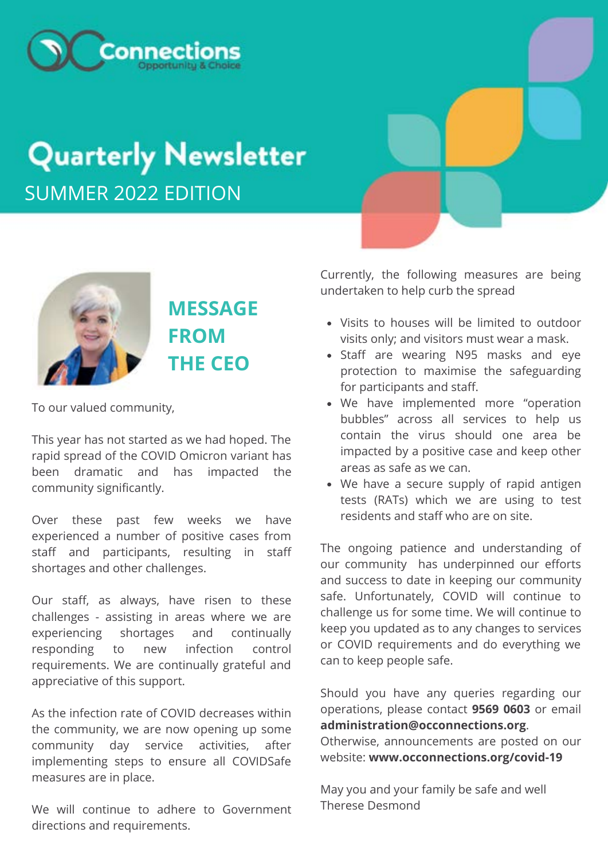

# **Quarterly Newsletter** SUMMER 2022 EDITION



# **MESSAGE FROM THE CEO**

To our valued community,

This year has not started as we had hoped. The rapid spread of the COVID Omicron variant has been dramatic and has impacted the community significantly.

Over these past few weeks we have experienced a number of positive cases from staff and participants, resulting in staff shortages and other challenges.

Our staff, as always, have risen to these challenges - assisting in areas where we are experiencing shortages and continually responding to new infection control requirements. We are continually grateful and appreciative of this support.

As the infection rate of COVID decreases within the community, we are now opening up some community day service activities, after implementing steps to ensure all COVIDSafe measures are in place.

We will continue to adhere to Government directions and requirements.

Currently, the following measures are being undertaken to help curb the spread

- Visits to houses will be limited to outdoor visits only; and visitors must wear a mask.
- Staff are wearing N95 masks and eye protection to maximise the safeguarding for participants and staff.
- We have implemented more "operation bubbles" across all services to help us contain the virus should one area be impacted by a positive case and keep other areas as safe as we can.
- We have a secure supply of rapid antigen tests (RATs) which we are using to test residents and staff who are on site.

The ongoing patience and understanding of our community has underpinned our efforts and success to date in keeping our community safe. Unfortunately, COVID will continue to challenge us for some time. We will continue to keep you updated as to any changes to services or COVID requirements and do everything we can to keep people safe.

Should you have any queries regarding our operations, please contact **9569 0603** or email **[administration@occonnections.org](mailto:administration@occonnections.org)**.

Otherwise, announcements are posted on our website: **www.occonnections.org/covid-19**

May you and your family be safe and well Therese Desmond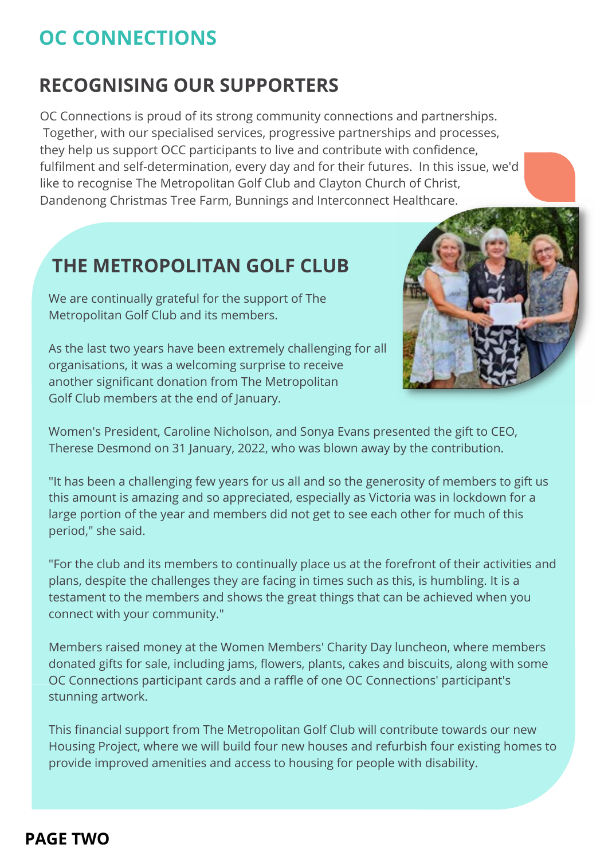#### **RECOGNISING OUR SUPPORTERS**

OC Connections is proud of its strong community connections and partnerships. Together, with our specialised services, progressive partnerships and processes, they help us support OCC participants to live and contribute with confidence, fulfilment and self-determination, every day and for their futures. In this issue, we'd like to recognise The Metropolitan Golf Club and Clayton Church of Christ, Dandenong Christmas Tree Farm, Bunnings and Interconnect Healthcare.

#### **THE METROPOLITAN GOLF CLUB**

We are continually grateful for the support of The Metropolitan Golf Club and its members.

As the last two years have been extremely challenging for all organisations, it was a welcoming surprise to receive another significant donation from The Metropolitan Golf Club members at the end of January.



Women's President, Caroline Nicholson, and Sonya Evans presented the gift to CEO, Therese Desmond on 31 January, 2022, who was blown away by the contribution.

"It has been a challenging few years for us all and so the generosity of members to gift us this amount is amazing and so appreciated, especially as Victoria was in lockdown for a large portion of the year and members did not get to see each other for much of this period," she said.

"For the club and its members to continually place us at the forefront of their activities and plans, despite the challenges they are facing in times such as this, is humbling. It is a testament to the members and shows the great things that can be achieved when you connect with your community."

Members raised money at the Women Members' Charity Day luncheon, where members donated gifts for sale, including jams, flowers, plants, cakes and biscuits, along with some OC Connections participant cards and a raffle of one OC Connections' participant's stunning artwork.

This financial support from The Metropolitan Golf Club will contribute towards our new Housing Project, where we will build four new houses and refurbish four existing homes to provide improved amenities and access to housing for people with disability.

#### **PAGE TWO**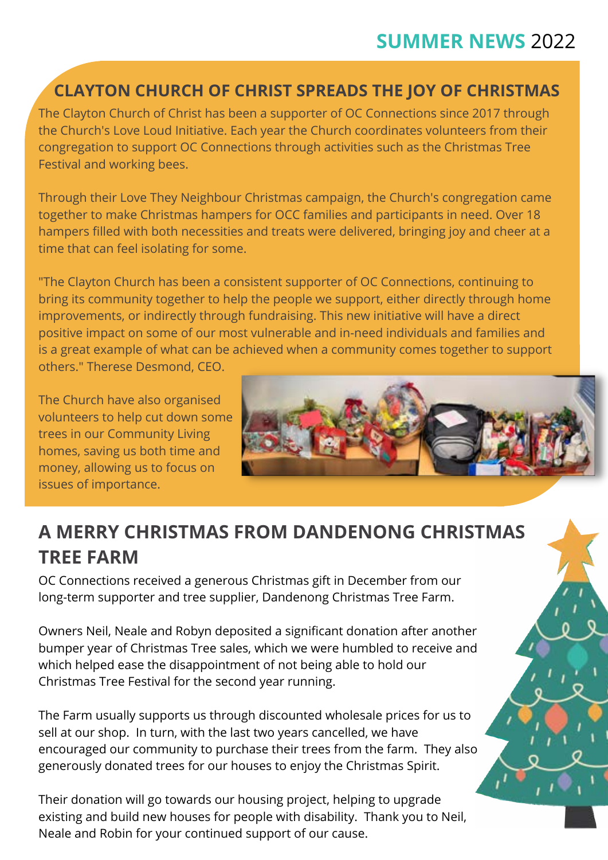### **SUMMER NEWS** 2022

#### **CLAYTON CHURCH OF CHRIST SPREADS THE JOY OF CHRISTMAS**

The Clayton Church of Christ has been a supporter of OC Connections since 2017 through the Church's Love Loud Initiative. Each year the Church coordinates volunteers from their congregation to support OC Connections through activities such as the Christmas Tree Festival and working bees.

Through their Love They Neighbour Christmas campaign, the Church's congregation came together to make Christmas hampers for OCC families and participants in need. Over 18 hampers filled with both necessities and treats were delivered, bringing joy and cheer at a time that can feel isolating for some.

"The Clayton Church has been a consistent supporter of OC Connections, continuing to bring its community together to help the people we support, either directly through home improvements, or indirectly through fundraising. This new initiative will have a direct positive impact on some of our most vulnerable and in-need individuals and families and is a great example of what can be achieved when a community comes together to support others." Therese Desmond, CEO.

The Church have also organised volunteers to help cut down some trees in our Community Living homes, saving us both time and money, allowing us to focus on issues of importance.



### **A MERRY CHRISTMAS FROM DANDENONG CHRISTMAS TREE FARM**

OC Connections received a generous Christmas gift in December from our long-term supporter and tree supplier, Dandenong Christmas Tree Farm.

Owners Neil, Neale and Robyn deposited a significant donation after another bumper year of Christmas Tree sales, which we were humbled to receive and which helped ease the disappointment of not being able to hold our Christmas Tree Festival for the second year running.

The Farm usually supports us through discounted wholesale prices for us to sell at our shop. In turn, with the last two years cancelled, we have encouraged our community to purchase their trees from the farm. They also generously donated trees for our houses to enjoy the Christmas Spirit.

Their donation will go towards our housing project, helping to upgrade existing and build new houses for people with disability. Thank you to Neil, Neale and Robin for your continued support of our cause.

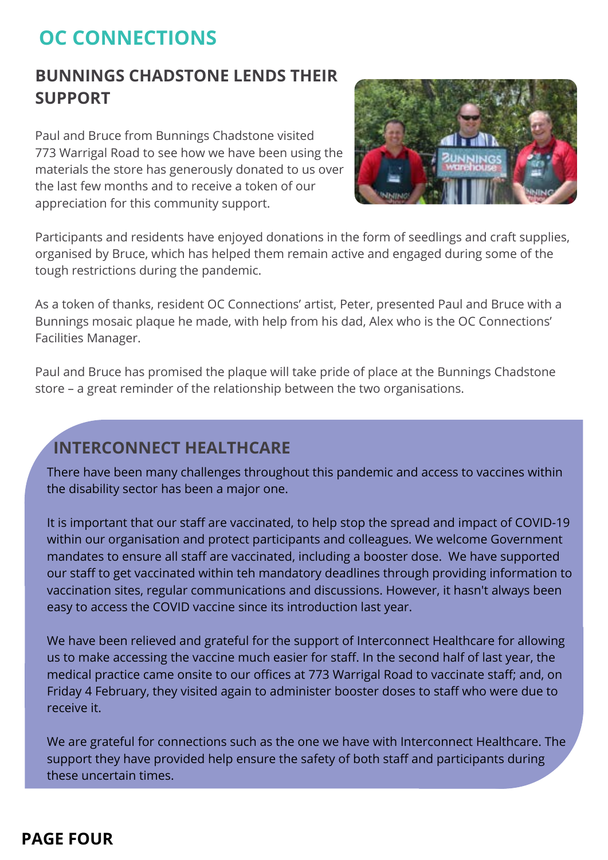#### **BUNNINGS CHADSTONE LENDS THEIR SUPPORT**

Paul and Bruce from Bunnings Chadstone visited 773 Warrigal Road to see how we have been using the materials the store has generously donated to us over the last few months and to receive a token of our appreciation for this community support.



Participants and residents have enjoyed donations in the form of seedlings and craft supplies, organised by Bruce, which has helped them remain active and engaged during some of the tough restrictions during the pandemic.

As a token of thanks, resident OC Connections' artist, Peter, presented Paul and Bruce with a Bunnings mosaic plaque he made, with help from his dad, Alex who is the OC Connections' Facilities Manager.

Paul and Bruce has promised the plaque will take pride of place at the Bunnings Chadstone store – a great reminder of the relationship between the two organisations.

#### **INTERCONNECT HEALTHCARE**

There have been many challenges throughout this pandemic and access to vaccines within the disability sector has been a major one.

It is important that our staff are vaccinated, to help stop the spread and impact of COVID-19 within our organisation and protect participants and colleagues. We welcome Government mandates to ensure all staff are vaccinated, including a booster dose. We have supported our staff to get vaccinated within teh mandatory deadlines through providing information to vaccination sites, regular communications and discussions. However, it hasn't always been easy to access the COVID vaccine since its introduction last year.

We have been relieved and grateful for the support of Interconnect Healthcare for allowing us to make accessing the vaccine much easier for staff. In the second half of last year, the medical practice came onsite to our offices at 773 Warrigal Road to vaccinate staff; and, on Friday 4 February, they visited again to administer booster doses to staff who were due to receive it.

We are grateful for connections such as the one we have with Interconnect Healthcare. The support they have provided help ensure the safety of both staff and participants during these uncertain times.

#### **PAGE FOUR**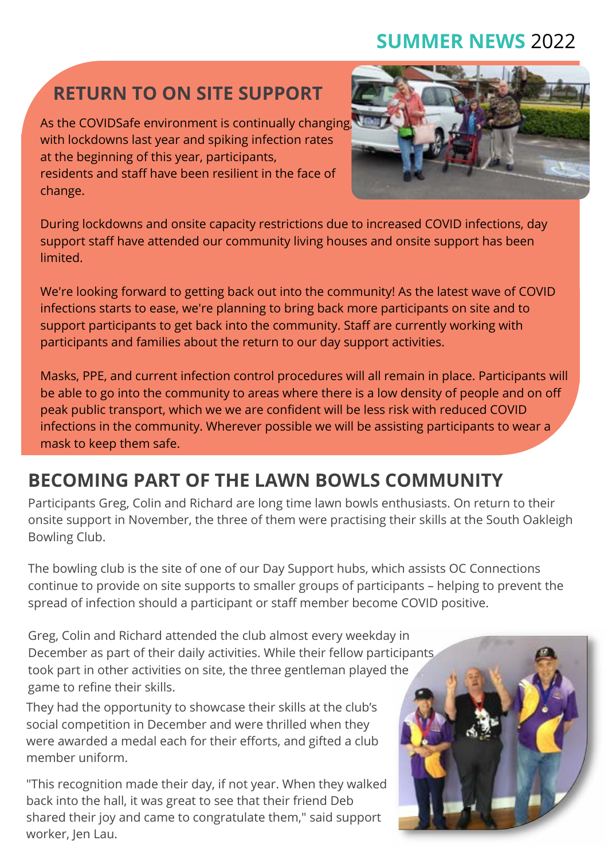### **SUMMER NEWS** 2022

# **RETURN TO ON SITE SUPPORT**

As the COVIDSafe environment is continually changing, with lockdowns last year and spiking infection rates at the beginning of this year, participants, residents and staff have been resilient in the face of change.



During lockdowns and onsite capacity restrictions due to increased COVID infections, day support staff have attended our community living houses and onsite support has been limited.

We're looking forward to getting back out into the community! As the latest wave of COVID infections starts to ease, we're planning to bring back more participants on site and to support participants to get back into the community. Staff are currently working with participants and families about the return to our day support activities.

**GREG, COLIN AND RICHARD CONNECT WITH THE** peak public transport, which we we are confident will be less risk with reduced COVID micedor's in the community: wherever power to keep them safe. Masks, PPE, and current infection control procedures will all remain in place. Participants will be able to go into the community to areas where there is a low density of people and on off infections in the community. Wherever possible we will be assisting participants to wear a

#### **BECOMING PART OF THE LAWN BOWLS COMMUNITY**

Participants Greg, Colin and Richard are long time lawn bowls enthusiasts. On return to their onsite support in November, the three of them were practising their skills at the South Oakleigh Bowling Club.

The bowling club is the site of one of our Day Support hubs, which assists OC Connections continue to provide on site supports to smaller groups of participants – helping to prevent the spread of infection should a participant or staff member become COVID positive.

Greg, Colin and Richard attended the club almost every weekday in December as part of their daily activities. While their fellow participants took part in other activities on site, the three gentleman played the game to refine their skills.

They had the opportunity to showcase their skills at the club's social competition in December and were thrilled when they were awarded a medal each for their efforts, and gifted a club member uniform.

"This recognition made their day, if not year. When they walked back into the hall, it was great to see that their friend Deb shared their joy and came to congratulate them," said support worker, Jen Lau.

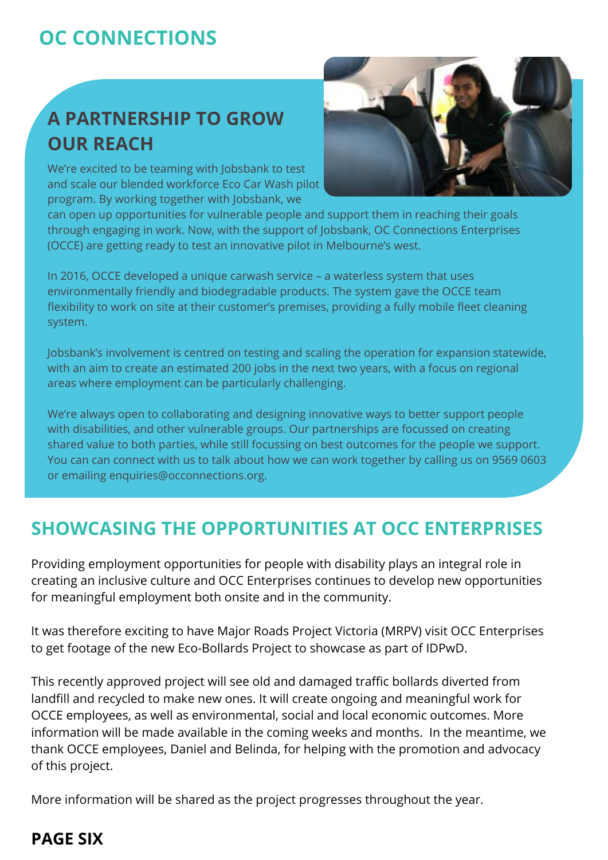# **A PARTNERSHIP TO GROW OUR REACH**

We're excited to be teaming with Jobsbank to test and scale our blended workforce Eco Car Wash pilot program. By working together with Jobsbank, we



can open up opportunities for vulnerable people and support them in reaching their goals through engaging in work. Now, with the support of Jobsbank, OC Connections Enterprises (OCCE) are getting ready to test an innovative pilot in Melbourne's west.

In 2016, OCCE developed a unique carwash service – a waterless system that uses environmentally friendly and biodegradable products. The system gave the OCCE team flexibility to work on site at their customer's premises, providing a fully mobile fleet cleaning system.

Jobsbank's involvement is centred on testing and scaling the operation for expansion statewide, with an aim to create an estimated 200 jobs in the next two years, with a focus on regional areas where employment can be particularly challenging.

We're always open to collaborating and designing innovative ways to better support people with disabilities, and other vulnerable groups. Our partnerships are focussed on creating shared value to both parties, while still focussing on best outcomes for the people we support. You can can connect with us to talk about how we can work together by calling us on 9569 0603 or emailing [enquiries@occonnections.org.](mailto:enquiries@occonnections.org)

#### **SHOWCASING THE OPPORTUNITIES AT OCC ENTERPRISES**

Providing employment opportunities for people with disability plays an integral role in creating an inclusive culture and OCC Enterprises continues to develop new opportunities for meaningful employment both onsite and in the community.

It was therefore exciting to have Major Roads Project Victoria (MRPV) visit OCC Enterprises to get footage of the new Eco-Bollards Project to showcase as part of IDPwD.

This recently approved project will see old and damaged traffic bollards diverted from landfill and recycled to make new ones. It will create ongoing and meaningful work for OCCE employees, as well as environmental, social and local economic outcomes. More information will be made available in the coming weeks and months. In the meantime, we thank OCCE employees, Daniel and Belinda, for helping with the promotion and advocacy of this project.

More information will be shared as the project progresses throughout the year.

#### **PAGE SIX**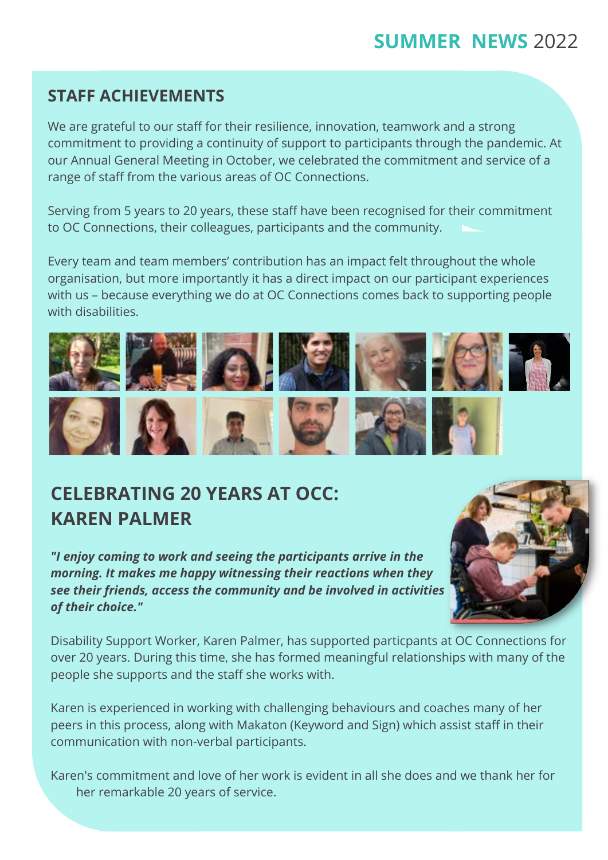#### **SUMMER NEWS** 2022

#### **STAFF ACHIEVEMENTS**

We are grateful to our staff for their resilience, innovation, teamwork and a strong commitment to providing a continuity of support to participants through the pandemic. At our Annual General Meeting in October, we celebrated the commitment and service of a range of staff from the various areas of OC Connections.

Serving from 5 years to 20 years, these staff have been recognised for their commitment to OC Connections, their colleagues, participants and the community.

Every team and team members' contribution has an impact felt throughout the whole organisation, but more importantly it has a direct impact on our participant experiences with us – because everything we do at OC Connections comes back to supporting people with disabilities.



### **CELEBRATING 20 YEARS AT OCC: KAREN PALMER**

*"I enjoy coming to work and seeing the participants arrive in the morning. It makes me happy witnessing their reactions when they see their friends, access the community and be involved in activities of their choice."*



Disability Support Worker, Karen Palmer, has supported particpants at OC Connections for over 20 years. During this time, she has formed meaningful relationships with many of the people she supports and the staff she works with.

Karen is experienced in working with challenging behaviours and coaches many of her peers in this process, along with Makaton (Keyword and Sign) which assist staff in their communication with non-verbal participants.

Karen's commitment and love of her work is evident in all she does and we thank her for her remarkable 20 years of service.